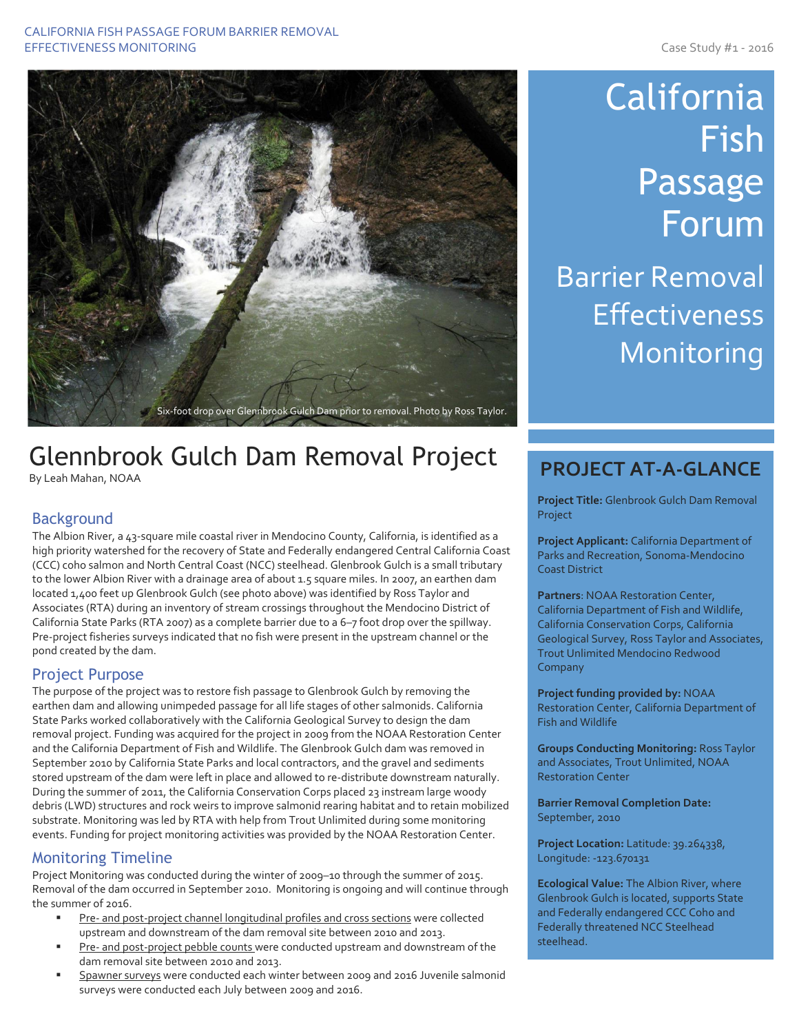#### CALIFORNIA FISH PASSAGE FORUM BARRIER REMOVAL EFFECTIVENESS MONITORING CASE AND THE SERVICE OF STUDY AND THE SERVICE OF STUDY #1 - 2016



# Glennbrook Gulch Dam Removal Project

By Leah Mahan, NOAA

# **Background**

The Albion River, a 43-square mile coastal river in Mendocino County, California, is identified as a high priority watershed for the recovery of State and Federally endangered Central California Coast (CCC) coho salmon and North Central Coast (NCC) steelhead. Glenbrook Gulch is a small tributary to the lower Albion River with a drainage area of about 1.5 square miles. In 2007, an earthen dam located 1,400 feet up Glenbrook Gulch (see photo above) was identified by Ross Taylor and Associates (RTA) during an inventory of stream crossings throughout the Mendocino District of California State Parks (RTA 2007) as a complete barrier due to a 6–7 foot drop over the spillway. Pre-project fisheries surveys indicated that no fish were present in the upstream channel or the pond created by the dam.

# Project Purpose

The purpose of the project was to restore fish passage to Glenbrook Gulch by removing the earthen dam and allowing unimpeded passage for all life stages of other salmonids. California State Parks worked collaboratively with the California Geological Survey to design the dam removal project. Funding was acquired for the project in 2009 from the NOAA Restoration Center and the California Department of Fish and Wildlife. The Glenbrook Gulch dam was removed in September 2010 by California State Parks and local contractors, and the gravel and sediments stored upstream of the dam were left in place and allowed to re-distribute downstream naturally. During the summer of 2011, the California Conservation Corps placed 23 instream large woody debris (LWD) structures and rock weirs to improve salmonid rearing habitat and to retain mobilized substrate. Monitoring was led by RTA with help from Trout Unlimited during some monitoring events. Funding for project monitoring activities was provided by the NOAA Restoration Center.

# Monitoring Timeline

Project Monitoring was conducted during the winter of 2009–10 through the summer of 2015. Removal of the dam occurred in September 2010. Monitoring is ongoing and will continue through the summer of 2016.

- Pre- and post-project channel longitudinal profiles and cross sections were collected upstream and downstream of the dam removal site between 2010 and 2013.
- Pre- and post-project pebble counts were conducted upstream and downstream of the dam removal site between 2010 and 2013.
- Spawner surveys were conducted each winter between 2009 and 2016 Juvenile salmonid surveys were conducted each July between 2009 and 2016.

# California Fish Passage Forum Barrier Removal **Effectiveness** Monitoring

# **PROJECT AT-A-GLANCE**

**Project Title:** Glenbrook Gulch Dam Removal Project

**Project Applicant:** California Department of Parks and Recreation, Sonoma-Mendocino Coast District

**Partners**: NOAA Restoration Center, California Department of Fish and Wildlife, California Conservation Corps, California Geological Survey, Ross Taylor and Associates, Trout Unlimited Mendocino Redwood Company

**Project funding provided by:** NOAA Restoration Center, California Department of Fish and Wildlife

**Groups Conducting Monitoring:** Ross Taylor and Associates, Trout Unlimited, NOAA Restoration Center

**Barrier Removal Completion Date:**  September, 2010

**Project Location:** Latitude: 39.264338, Longitude: -123.670131

**Ecological Value:** The Albion River, where Glenbrook Gulch is located, supports State and Federally endangered CCC Coho and Federally threatened NCC Steelhead steelhead.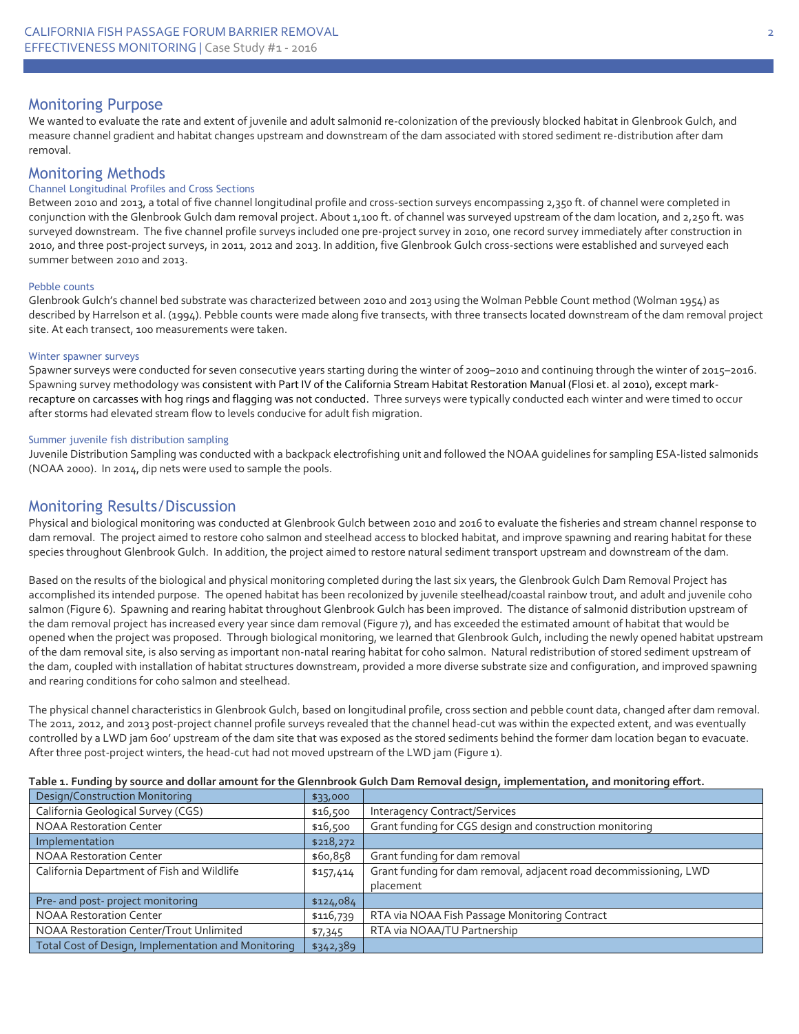### Monitoring Purpose

We wanted to evaluate the rate and extent of juvenile and adult salmonid re-colonization of the previously blocked habitat in Glenbrook Gulch, and measure channel gradient and habitat changes upstream and downstream of the dam associated with stored sediment re-distribution after dam removal.

### Monitoring Methods

#### Channel Longitudinal Profiles and Cross Sections

Between 2010 and 2013, a total of five channel longitudinal profile and cross-section surveys encompassing 2,350 ft. of channel were completed in conjunction with the Glenbrook Gulch dam removal project. About 1,100 ft. of channel was surveyed upstream of the dam location, and 2,250 ft. was surveyed downstream. The five channel profile surveys included one pre-project survey in 2010, one record survey immediately after construction in 2010, and three post-project surveys, in 2011, 2012 and 2013. In addition, five Glenbrook Gulch cross-sections were established and surveyed each summer between 2010 and 2013.

#### Pebble counts

Glenbrook Gulch's channel bed substrate was characterized between 2010 and 2013 using the Wolman Pebble Count method (Wolman 1954) as described by Harrelson et al. (1994). Pebble counts were made along five transects, with three transects located downstream of the dam removal project site. At each transect, 100 measurements were taken.

#### Winter spawner surveys

Spawner surveys were conducted for seven consecutive years starting during the winter of 2009–2010 and continuing through the winter of 2015–2016. Spawning survey methodology was consistent with Part IV of the California Stream Habitat Restoration Manual (Flosi et. al 2010), except markrecapture on carcasses with hog rings and flagging was not conducted. Three surveys were typically conducted each winter and were timed to occur after storms had elevated stream flow to levels conducive for adult fish migration.

#### Summer juvenile fish distribution sampling

Juvenile Distribution Sampling was conducted with a backpack electrofishing unit and followed the NOAA guidelines for sampling ESA-listed salmonids (NOAA 2000). In 2014, dip nets were used to sample the pools.

## Monitoring Results/Discussion

Physical and biological monitoring was conducted at Glenbrook Gulch between 2010 and 2016 to evaluate the fisheries and stream channel response to dam removal. The project aimed to restore coho salmon and steelhead access to blocked habitat, and improve spawning and rearing habitat for these species throughout Glenbrook Gulch. In addition, the project aimed to restore natural sediment transport upstream and downstream of the dam.

Based on the results of the biological and physical monitoring completed during the last six years, the Glenbrook Gulch Dam Removal Project has accomplished its intended purpose. The opened habitat has been recolonized by juvenile steelhead/coastal rainbow trout, and adult and juvenile coho salmon (Figure 6). Spawning and rearing habitat throughout Glenbrook Gulch has been improved. The distance of salmonid distribution upstream of the dam removal project has increased every year since dam removal (Figure 7), and has exceeded the estimated amount of habitat that would be opened when the project was proposed. Through biological monitoring, we learned that Glenbrook Gulch, including the newly opened habitat upstream of the dam removal site, is also serving as important non-natal rearing habitat for coho salmon. Natural redistribution of stored sediment upstream of the dam, coupled with installation of habitat structures downstream, provided a more diverse substrate size and configuration, and improved spawning and rearing conditions for coho salmon and steelhead.

The physical channel characteristics in Glenbrook Gulch, based on longitudinal profile, cross section and pebble count data, changed after dam removal. The 2011, 2012, and 2013 post-project channel profile surveys revealed that the channel head-cut was within the expected extent, and was eventually controlled by a LWD jam 600' upstream of the dam site that was exposed as the stored sediments behind the former dam location began to evacuate. After three post-project winters, the head-cut had not moved upstream of the LWD jam (Figure 1).

|  |  | Table 1. Funding by source and dollar amount for the Glennbrook Gulch Dam Removal design, implementation, and monitoring effort. |  |  |  |  |  |  |  |
|--|--|----------------------------------------------------------------------------------------------------------------------------------|--|--|--|--|--|--|--|
|--|--|----------------------------------------------------------------------------------------------------------------------------------|--|--|--|--|--|--|--|

| Design/Construction Monitoring                      | \$33,000  |                                                                   |
|-----------------------------------------------------|-----------|-------------------------------------------------------------------|
| California Geological Survey (CGS)                  | \$16,500  | <b>Interagency Contract/Services</b>                              |
| <b>NOAA Restoration Center</b>                      | \$16,500  | Grant funding for CGS design and construction monitoring          |
| Implementation                                      | \$218,272 |                                                                   |
| <b>NOAA Restoration Center</b>                      | \$60,858  | Grant funding for dam removal                                     |
| California Department of Fish and Wildlife          | \$157,414 | Grant funding for dam removal, adjacent road decommissioning, LWD |
|                                                     |           | placement                                                         |
| Pre- and post- project monitoring                   | \$124,084 |                                                                   |
| <b>NOAA Restoration Center</b>                      | \$116,739 | RTA via NOAA Fish Passage Monitoring Contract                     |
| NOAA Restoration Center/Trout Unlimited             | \$7,345   | RTA via NOAA/TU Partnership                                       |
| Total Cost of Design, Implementation and Monitoring | \$342,389 |                                                                   |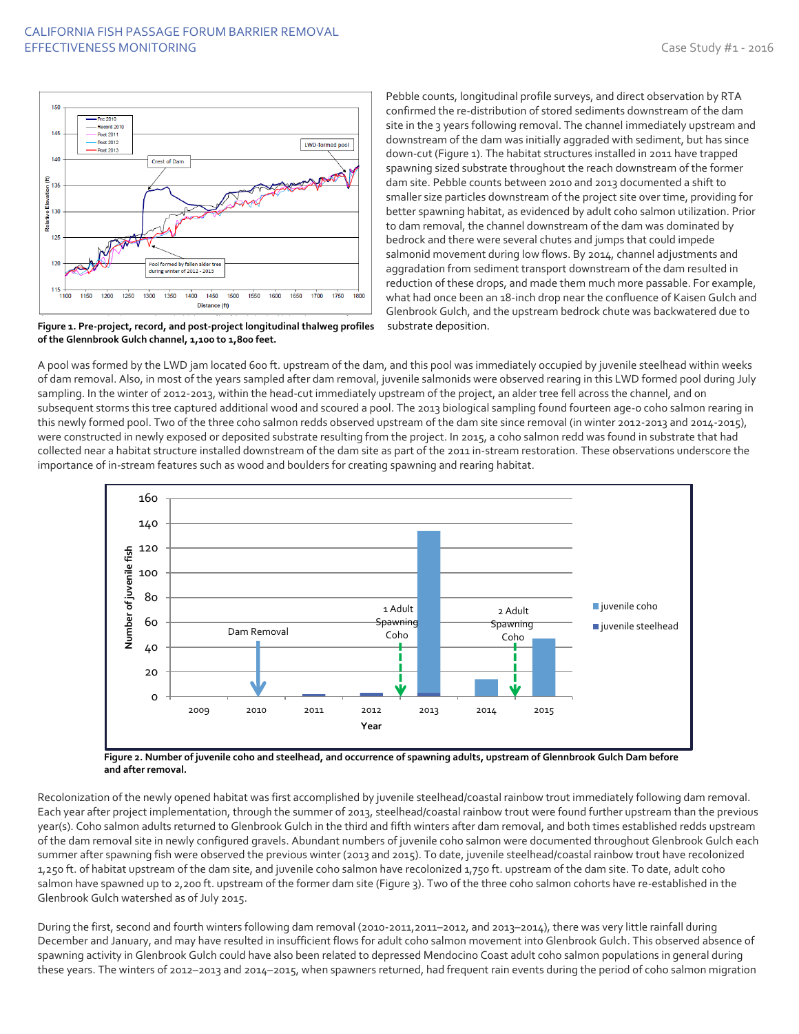

**Figure 1. Pre-project, record, and post-project longitudinal thalweg profiles** substrate deposition. **of the Glennbrook Gulch channel, 1,100 to 1,800 feet.**

Pebble counts, longitudinal profile surveys, and direct observation by RTA confirmed the re-distribution of stored sediments downstream of the dam site in the 3 years following removal. The channel immediately upstream and downstream of the dam was initially aggraded with sediment, but has since down-cut (Figure 1). The habitat structures installed in 2011 have trapped spawning sized substrate throughout the reach downstream of the former dam site. Pebble counts between 2010 and 2013 documented a shift to smaller size particles downstream of the project site over time, providing for better spawning habitat, as evidenced by adult coho salmon utilization. Prior to dam removal, the channel downstream of the dam was dominated by bedrock and there were several chutes and jumps that could impede salmonid movement during low flows. By 2014, channel adjustments and aggradation from sediment transport downstream of the dam resulted in reduction of these drops, and made them much more passable. For example, what had once been an 18-inch drop near the confluence of Kaisen Gulch and Glenbrook Gulch, and the upstream bedrock chute was backwatered due to

A pool was formed by the LWD jam located 600 ft. upstream of the dam, and this pool was immediately occupied by juvenile steelhead within weeks of dam removal. Also, in most of the years sampled after dam removal, juvenile salmonids were observed rearing in this LWD formed pool during July sampling. In the winter of 2012-2013, within the head-cut immediately upstream of the project, an alder tree fell across the channel, and on subsequent storms this tree captured additional wood and scoured a pool. The 2013 biological sampling found fourteen age-0 coho salmon rearing in this newly formed pool. Two of the three coho salmon redds observed upstream of the dam site since removal (in winter 2012-2013 and 2014-2015), were constructed in newly exposed or deposited substrate resulting from the project. In 2015, a coho salmon redd was found in substrate that had collected near a habitat structure installed downstream of the dam site as part of the 2011 in-stream restoration. These observations underscore the importance of in-stream features such as wood and boulders for creating spawning and rearing habitat.



**Figure 2. Number of juvenile coho and steelhead, and occurrence of spawning adults, upstream of Glennbrook Gulch Dam before and after removal.**

Recolonization of the newly opened habitat was first accomplished by juvenile steelhead/coastal rainbow trout immediately following dam removal. Each year after project implementation, through the summer of 2013, steelhead/coastal rainbow trout were found further upstream than the previous year(s). Coho salmon adults returned to Glenbrook Gulch in the third and fifth winters after dam removal, and both times established redds upstream of the dam removal site in newly configured gravels. Abundant numbers of juvenile coho salmon were documented throughout Glenbrook Gulch each summer after spawning fish were observed the previous winter (2013 and 2015). To date, juvenile steelhead/coastal rainbow trout have recolonized 1,250 ft. of habitat upstream of the dam site, and juvenile coho salmon have recolonized 1,750 ft. upstream of the dam site. To date, adult coho salmon have spawned up to 2,200 ft. upstream of the former dam site (Figure 3). Two of the three coho salmon cohorts have re-established in the Glenbrook Gulch watershed as of July 2015.

During the first, second and fourth winters following dam removal (2010-2011,2011–2012, and 2013–2014), there was very little rainfall during December and January, and may have resulted in insufficient flows for adult coho salmon movement into Glenbrook Gulch. This observed absence of spawning activity in Glenbrook Gulch could have also been related to depressed Mendocino Coast adult coho salmon populations in general during these years. The winters of 2012–2013 and 2014–2015, when spawners returned, had frequent rain events during the period of coho salmon migration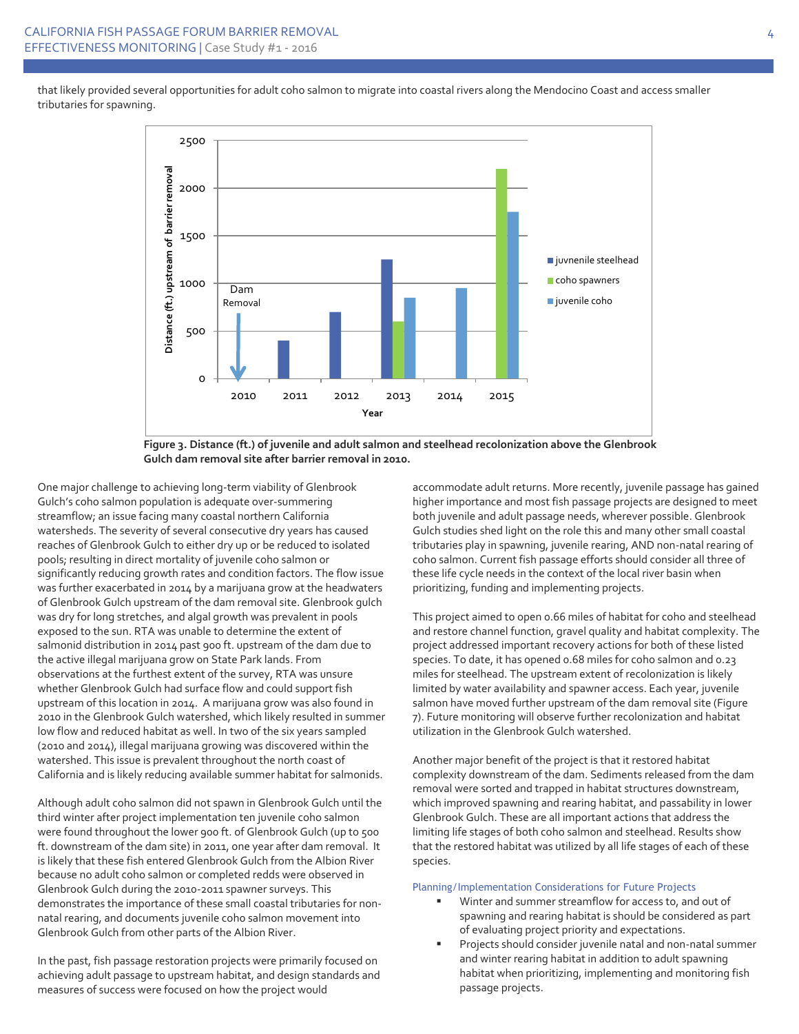that likely provided several opportunities for adult coho salmon to migrate into coastal rivers along the Mendocino Coast and access smaller tributaries for spawning.



 **Figure 3. Distance (ft.) of juvenile and adult salmon and steelhead recolonization above the Glenbrook Gulch dam removal site after barrier removal in 2010.**

One major challenge to achieving long-term viability of Glenbrook Gulch's coho salmon population is adequate over-summering streamflow; an issue facing many coastal northern California watersheds. The severity of several consecutive dry years has caused reaches of Glenbrook Gulch to either dry up or be reduced to isolated pools; resulting in direct mortality of juvenile coho salmon or significantly reducing growth rates and condition factors. The flow issue was further exacerbated in 2014 by a marijuana grow at the headwaters of Glenbrook Gulch upstream of the dam removal site. Glenbrook gulch was dry for long stretches, and algal growth was prevalent in pools exposed to the sun. RTA was unable to determine the extent of salmonid distribution in 2014 past 900 ft. upstream of the dam due to the active illegal marijuana grow on State Park lands. From observations at the furthest extent of the survey, RTA was unsure whether Glenbrook Gulch had surface flow and could support fish upstream of this location in 2014. A marijuana grow was also found in 2010 in the Glenbrook Gulch watershed, which likely resulted in summer low flow and reduced habitat as well. In two of the six years sampled (2010 and 2014), illegal marijuana growing was discovered within the watershed. This issue is prevalent throughout the north coast of California and is likely reducing available summer habitat for salmonids.

Although adult coho salmon did not spawn in Glenbrook Gulch until the third winter after project implementation ten juvenile coho salmon were found throughout the lower 900 ft. of Glenbrook Gulch (up to 500 ft. downstream of the dam site) in 2011, one year after dam removal. It is likely that these fish entered Glenbrook Gulch from the Albion River because no adult coho salmon or completed redds were observed in Glenbrook Gulch during the 2010-2011 spawner surveys. This demonstrates the importance of these small coastal tributaries for nonnatal rearing, and documents juvenile coho salmon movement into Glenbrook Gulch from other parts of the Albion River.

In the past, fish passage restoration projects were primarily focused on achieving adult passage to upstream habitat, and design standards and measures of success were focused on how the project would

accommodate adult returns. More recently, juvenile passage has gained higher importance and most fish passage projects are designed to meet both juvenile and adult passage needs, wherever possible. Glenbrook Gulch studies shed light on the role this and many other small coastal tributaries play in spawning, juvenile rearing, AND non-natal rearing of coho salmon. Current fish passage efforts should consider all three of these life cycle needs in the context of the local river basin when prioritizing, funding and implementing projects.

This project aimed to open 0.66 miles of habitat for coho and steelhead and restore channel function, gravel quality and habitat complexity. The project addressed important recovery actions for both of these listed species. To date, it has opened 0.68 miles for coho salmon and 0.23 miles for steelhead. The upstream extent of recolonization is likely limited by water availability and spawner access. Each year, juvenile salmon have moved further upstream of the dam removal site (Figure 7). Future monitoring will observe further recolonization and habitat utilization in the Glenbrook Gulch watershed.

Another major benefit of the project is that it restored habitat complexity downstream of the dam. Sediments released from the dam removal were sorted and trapped in habitat structures downstream, which improved spawning and rearing habitat, and passability in lower Glenbrook Gulch. These are all important actions that address the limiting life stages of both coho salmon and steelhead. Results show that the restored habitat was utilized by all life stages of each of these species.

#### Planning/Implementation Considerations for Future Projects

- Winter and summer streamflow for access to, and out of spawning and rearing habitat is should be considered as part of evaluating project priority and expectations.
- Projects should consider juvenile natal and non-natal summer and winter rearing habitat in addition to adult spawning habitat when prioritizing, implementing and monitoring fish passage projects.